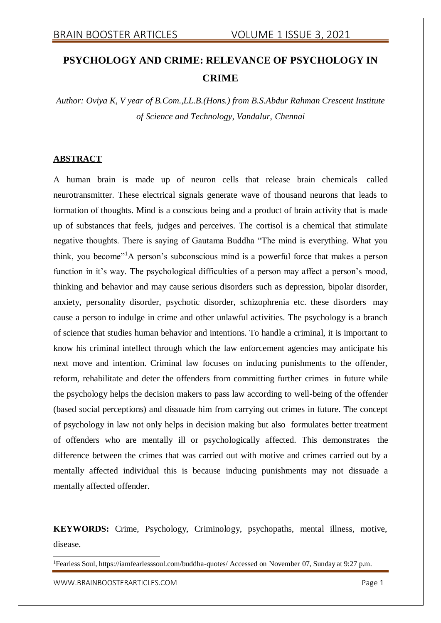# **PSYCHOLOGY AND CRIME: RELEVANCE OF PSYCHOLOGY IN CRIME**

*Author: Oviya K, V year of B.Com.,LL.B.(Hons.) from B.S.Abdur Rahman Crescent Institute of Science and Technology, Vandalur, Chennai*

## **ABSTRACT**

A human brain is made up of neuron cells that release brain chemicals called neurotransmitter. These electrical signals generate wave of thousand neurons that leads to formation of thoughts. Mind is a conscious being and a product of brain activity that is made up of substances that feels, judges and perceives. The cortisol is a chemical that stimulate negative thoughts. There is saying of Gautama Buddha "The mind is everything. What you think, you become"<sup>1</sup>A person's subconscious mind is a powerful force that makes a person function in it's way. The psychological difficulties of a person may affect a person's mood, thinking and behavior and may cause serious disorders such as depression, bipolar disorder, anxiety, personality disorder, psychotic disorder, schizophrenia etc. these disorders may cause a person to indulge in crime and other unlawful activities. The psychology is a branch of science that studies human behavior and intentions. To handle a criminal, it is important to know his criminal intellect through which the law enforcement agencies may anticipate his next move and intention. Criminal law focuses on inducing punishments to the offender, reform, rehabilitate and deter the offenders from committing further crimes in future while the psychology helps the decision makers to pass law according to well-being of the offender (based social perceptions) and dissuade him from carrying out crimes in future. The concept of psychology in law not only helps in decision making but also formulates better treatment of offenders who are mentally ill or psychologically affected. This demonstrates the difference between the crimes that was carried out with motive and crimes carried out by a mentally affected individual this is because inducing punishments may not dissuade a mentally affected offender.

**KEYWORDS:** Crime, Psychology, Criminology, psychopaths, mental illness, motive, disease.

[WWW.BRAINBOOSTERARTICLES.COM](http://www.brainboosterarticles.com/) extended that the control of the control of the control of the control of the control of the control of the control of the control of the control of the control of the control of the control of

<sup>&</sup>lt;sup>1</sup>Fearless Soul, https://iamfearlesssoul.com/buddha-quotes/ Accessed on November 07, Sunday at 9:27 p.m.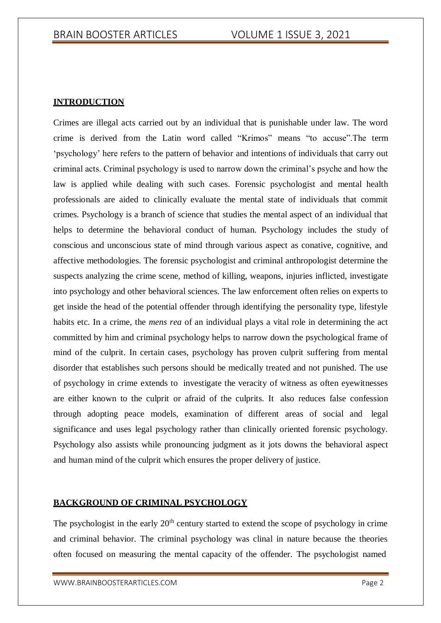## **INTRODUCTION**

Crimes are illegal acts carried out by an individual that is punishable under law. The word crime is derived from the Latin word called "Krimos" means "to accuse".The term 'psychology' here refers to the pattern of behavior and intentions of individuals that carry out criminal acts. Criminal psychology is used to narrow down the criminal's psyche and how the law is applied while dealing with such cases. Forensic psychologist and mental health professionals are aided to clinically evaluate the mental state of individuals that commit crimes. Psychology is a branch of science that studies the mental aspect of an individual that helps to determine the behavioral conduct of human. Psychology includes the study of conscious and unconscious state of mind through various aspect as conative, cognitive, and affective methodologies. The forensic psychologist and criminal anthropologist determine the suspects analyzing the crime scene, method of killing, weapons, injuries inflicted, investigate into psychology and other behavioral sciences. The law enforcement often relies on experts to get inside the head of the potential offender through identifying the personality type, lifestyle habits etc. In a crime, the *mens rea* of an individual plays a vital role in determining the act committed by him and criminal psychology helps to narrow down the psychological frame of mind of the culprit. In certain cases, psychology has proven culprit suffering from mental disorder that establishes such persons should be medically treated and not punished. The use of psychology in crime extends to investigate the veracity of witness as often eyewitnesses are either known to the culprit or afraid of the culprits. It also reduces false confession through adopting peace models, examination of different areas of social and legal significance and uses legal psychology rather than clinically oriented forensic psychology. Psychology also assists while pronouncing judgment as it jots downs the behavioral aspect and human mind of the culprit which ensures the proper delivery of justice.

## **BACKGROUND OF CRIMINAL PSYCHOLOGY**

The psychologist in the early  $20<sup>th</sup>$  century started to extend the scope of psychology in crime and criminal behavior. The criminal psychology was clinal in nature because the theories often focused on measuring the mental capacity of the offender. The psychologist named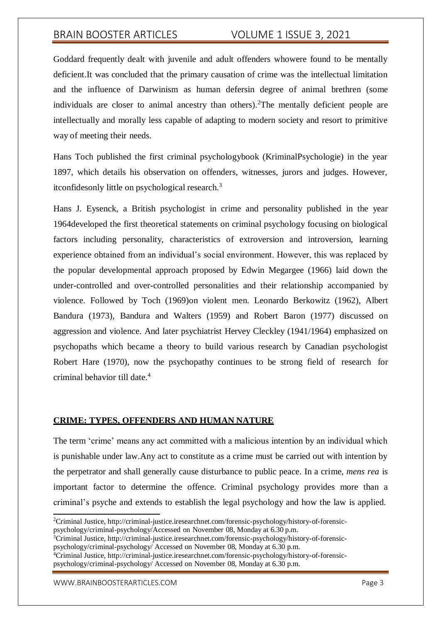Goddard frequently dealt with juvenile and adult offenders whowere found to be mentally deficient.It was concluded that the primary causation of crime was the intellectual limitation and the influence of Darwinism as human defersin degree of animal brethren (some individuals are closer to animal ancestry than others).<sup>2</sup>The mentally deficient people are intellectually and morally less capable of adapting to modern society and resort to primitive way of meeting their needs.

Hans Toch published the first criminal psychologybook (KriminalPsychologie) in the year 1897, which details his observation on offenders, witnesses, jurors and judges. However, itconfidesonly little on psychological research.<sup>3</sup>

Hans J. Eysenck, a British psychologist in crime and personality published in the year 1964developed the first theoretical statements on criminal psychology focusing on biological factors including personality, characteristics of extroversion and introversion, learning experience obtained from an individual's social environment. However, this was replaced by the popular developmental approach proposed by Edwin Megargee (1966) laid down the under-controlled and over-controlled personalities and their relationship accompanied by violence. Followed by Toch (1969)on violent men. Leonardo Berkowitz (1962), Albert Bandura (1973), Bandura and Walters (1959) and Robert Baron (1977) discussed on aggression and violence. And later psychiatrist Hervey Cleckley (1941/1964) emphasized on psychopaths which became a theory to build various research by Canadian psychologist Robert Hare (1970), now the psychopathy continues to be strong field of research for criminal behavior till date.<sup>4</sup>

## **CRIME: TYPES, OFFENDERS AND HUMAN NATURE**

The term 'crime' means any act committed with a malicious intention by an individual which is punishable under law.Any act to constitute as a crime must be carried out with intention by the perpetrator and shall generally cause disturbance to public peace. In a crime, *mens rea* is important factor to determine the offence. Criminal psychology provides more than a criminal's psyche and extends to establish the legal psychology and how the law is applied.

<sup>3</sup>Criminal Justice, [http://criminal-justice.iresearchnet.com/forensic-psychology/history-of-forensic](http://criminal-justice.iresearchnet.com/forensic-psychology/history-of-forensic-)psychology/criminal-psychology/ Accessed on November 08, Monday at 6.30 p.m.

<sup>2</sup>Criminal Justice,<http://criminal-justice.iresearchnet.com/forensic-psychology/history-of-forensic->

psychology/criminal-psychology/Accessed on November 08, Monday at 6.30 p.m.

<sup>&</sup>lt;sup>4</sup>Criminal Justice, [http://criminal-justice.iresearchnet.com/forensic-psychology/history-of-forensic](http://criminal-justice.iresearchnet.com/forensic-psychology/history-of-forensic-)psychology/criminal-psychology/ Accessed on November 08, Monday at 6.30 p.m.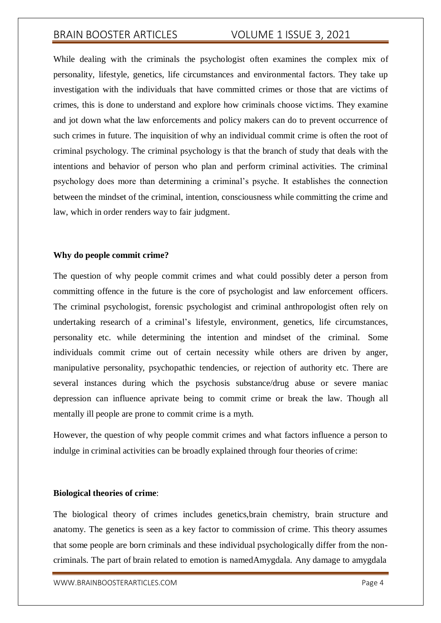While dealing with the criminals the psychologist often examines the complex mix of personality, lifestyle, genetics, life circumstances and environmental factors. They take up investigation with the individuals that have committed crimes or those that are victims of crimes, this is done to understand and explore how criminals choose victims. They examine and jot down what the law enforcements and policy makers can do to prevent occurrence of such crimes in future. The inquisition of why an individual commit crime is often the root of criminal psychology. The criminal psychology is that the branch of study that deals with the intentions and behavior of person who plan and perform criminal activities. The criminal psychology does more than determining a criminal's psyche. It establishes the connection between the mindset of the criminal, intention, consciousness while committing the crime and law, which in order renders way to fair judgment.

## **Why do people commit crime?**

The question of why people commit crimes and what could possibly deter a person from committing offence in the future is the core of psychologist and law enforcement officers. The criminal psychologist, forensic psychologist and criminal anthropologist often rely on undertaking research of a criminal's lifestyle, environment, genetics, life circumstances, personality etc. while determining the intention and mindset of the criminal. Some individuals commit crime out of certain necessity while others are driven by anger, manipulative personality, psychopathic tendencies, or rejection of authority etc. There are several instances during which the psychosis substance/drug abuse or severe maniac depression can influence aprivate being to commit crime or break the law. Though all mentally ill people are prone to commit crime is a myth.

However, the question of why people commit crimes and what factors influence a person to indulge in criminal activities can be broadly explained through four theories of crime:

#### **Biological theories of crime**:

The biological theory of crimes includes genetics,brain chemistry, brain structure and anatomy. The genetics is seen as a key factor to commission of crime. This theory assumes that some people are born criminals and these individual psychologically differ from the noncriminals. The part of brain related to emotion is namedAmygdala. Any damage to amygdala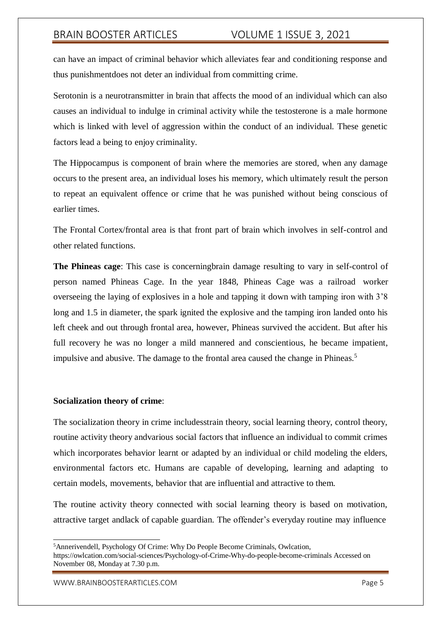can have an impact of criminal behavior which alleviates fear and conditioning response and thus punishmentdoes not deter an individual from committing crime.

Serotonin is a neurotransmitter in brain that affects the mood of an individual which can also causes an individual to indulge in criminal activity while the testosterone is a male hormone which is linked with level of aggression within the conduct of an individual. These genetic factors lead a being to enjoy criminality.

The Hippocampus is component of brain where the memories are stored, when any damage occurs to the present area, an individual loses his memory, which ultimately result the person to repeat an equivalent offence or crime that he was punished without being conscious of earlier times.

The Frontal Cortex/frontal area is that front part of brain which involves in self-control and other related functions.

**The Phineas cage**: This case is concerningbrain damage resulting to vary in self-control of person named Phineas Cage. In the year 1848, Phineas Cage was a railroad worker overseeing the laying of explosives in a hole and tapping it down with tamping iron with 3'8 long and 1.5 in diameter, the spark ignited the explosive and the tamping iron landed onto his left cheek and out through frontal area, however, Phineas survived the accident. But after his full recovery he was no longer a mild mannered and conscientious, he became impatient, impulsive and abusive. The damage to the frontal area caused the change in Phineas.<sup>5</sup>

#### **Socialization theory of crime**:

The socialization theory in crime includesstrain theory, social learning theory, control theory, routine activity theory andvarious social factors that influence an individual to commit crimes which incorporates behavior learnt or adapted by an individual or child modeling the elders, environmental factors etc. Humans are capable of developing, learning and adapting to certain models, movements, behavior that are influential and attractive to them.

The routine activity theory connected with social learning theory is based on motivation, attractive target andlack of capable guardian. The offender's everyday routine may influence

https://owlcation.com/social-sciences/Psychology-of-Crime-Why-do-people-become-criminals Accessed on November 08, Monday at 7.30 p.m.

<sup>5</sup>Annerivendell, Psychology Of Crime: Why Do People Become Criminals, Owlcation,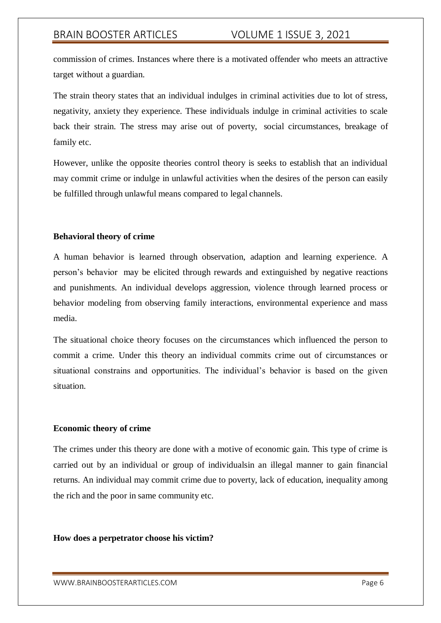commission of crimes. Instances where there is a motivated offender who meets an attractive target without a guardian.

The strain theory states that an individual indulges in criminal activities due to lot of stress, negativity, anxiety they experience. These individuals indulge in criminal activities to scale back their strain. The stress may arise out of poverty, social circumstances, breakage of family etc.

However, unlike the opposite theories control theory is seeks to establish that an individual may commit crime or indulge in unlawful activities when the desires of the person can easily be fulfilled through unlawful means compared to legal channels.

## **Behavioral theory of crime**

A human behavior is learned through observation, adaption and learning experience. A person's behavior may be elicited through rewards and extinguished by negative reactions and punishments. An individual develops aggression, violence through learned process or behavior modeling from observing family interactions, environmental experience and mass media.

The situational choice theory focuses on the circumstances which influenced the person to commit a crime. Under this theory an individual commits crime out of circumstances or situational constrains and opportunities. The individual's behavior is based on the given situation.

## **Economic theory of crime**

The crimes under this theory are done with a motive of economic gain. This type of crime is carried out by an individual or group of individualsin an illegal manner to gain financial returns. An individual may commit crime due to poverty, lack of education, inequality among the rich and the poor in same community etc.

#### **How does a perpetrator choose his victim?**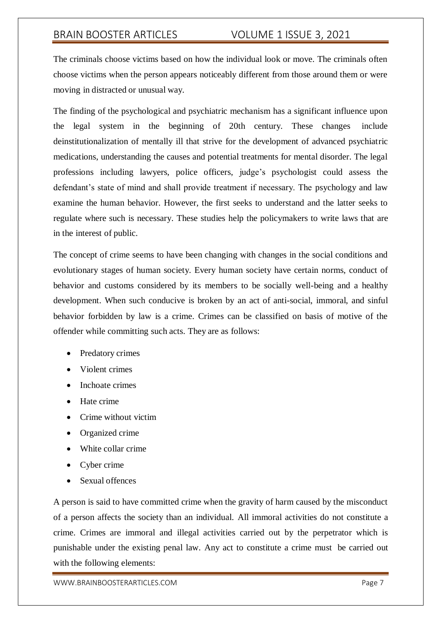The criminals choose victims based on how the individual look or move. The criminals often choose victims when the person appears noticeably different from those around them or were moving in distracted or unusual way.

The finding of the psychological and psychiatric mechanism has a significant influence upon the legal system in the beginning of 20th century. These changes include deinstitutionalization of mentally ill that strive for the development of advanced psychiatric medications, understanding the causes and potential treatments for mental disorder. The legal professions including lawyers, police officers, judge's psychologist could assess the defendant's state of mind and shall provide treatment if necessary. The psychology and law examine the human behavior. However, the first seeks to understand and the latter seeks to regulate where such is necessary. These studies help the policymakers to write laws that are in the interest of public.

The concept of crime seems to have been changing with changes in the social conditions and evolutionary stages of human society. Every human society have certain norms, conduct of behavior and customs considered by its members to be socially well-being and a healthy development. When such conducive is broken by an act of anti-social, immoral, and sinful behavior forbidden by law is a crime. Crimes can be classified on basis of motive of the offender while committing such acts. They are as follows:

- Predatory crimes
- Violent crimes
- Inchoate crimes
- Hate crime
- Crime without victim
- Organized crime
- White collar crime
- Cyber crime
- Sexual offences

A person is said to have committed crime when the gravity of harm caused by the misconduct of a person affects the society than an individual. All immoral activities do not constitute a crime. Crimes are immoral and illegal activities carried out by the perpetrator which is punishable under the existing penal law. Any act to constitute a crime must be carried out with the following elements: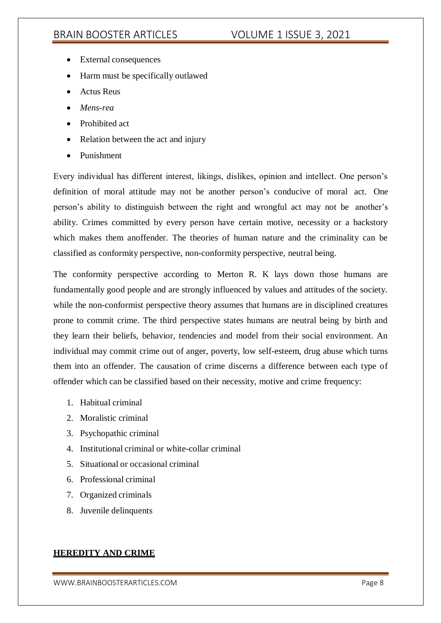- External consequences
- Harm must be specifically outlawed
- Actus Reus
- *Mens-rea*
- Prohibited act
- Relation between the act and injury
- **•** Punishment

Every individual has different interest, likings, dislikes, opinion and intellect. One person's definition of moral attitude may not be another person's conducive of moral act. One person's ability to distinguish between the right and wrongful act may not be another's ability. Crimes committed by every person have certain motive, necessity or a backstory which makes them anoffender. The theories of human nature and the criminality can be classified as conformity perspective, non-conformity perspective, neutral being.

The conformity perspective according to Merton R. K lays down those humans are fundamentally good people and are strongly influenced by values and attitudes of the society. while the non-conformist perspective theory assumes that humans are in disciplined creatures prone to commit crime. The third perspective states humans are neutral being by birth and they learn their beliefs, behavior, tendencies and model from their social environment. An individual may commit crime out of anger, poverty, low self-esteem, drug abuse which turns them into an offender. The causation of crime discerns a difference between each type of offender which can be classified based on their necessity, motive and crime frequency:

- 1. Habitual criminal
- 2. Moralistic criminal
- 3. Psychopathic criminal
- 4. Institutional criminal or white-collar criminal
- 5. Situational or occasional criminal
- 6. Professional criminal
- 7. Organized criminals
- 8. Juvenile delinquents

## **HEREDITY AND CRIME**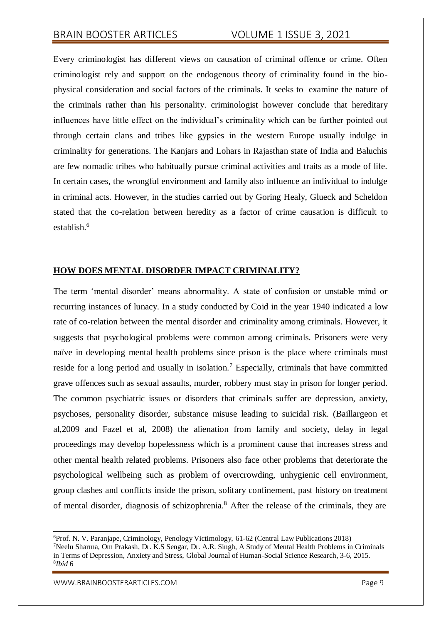Every criminologist has different views on causation of criminal offence or crime. Often criminologist rely and support on the endogenous theory of criminality found in the biophysical consideration and social factors of the criminals. It seeks to examine the nature of the criminals rather than his personality. criminologist however conclude that hereditary influences have little effect on the individual's criminality which can be further pointed out through certain clans and tribes like gypsies in the western Europe usually indulge in criminality for generations. The Kanjars and Lohars in Rajasthan state of India and Baluchis are few nomadic tribes who habitually pursue criminal activities and traits as a mode of life. In certain cases, the wrongful environment and family also influence an individual to indulge in criminal acts. However, in the studies carried out by Goring Healy, Glueck and Scheldon stated that the co-relation between heredity as a factor of crime causation is difficult to establish<sup>6</sup>

## **HOW DOES MENTAL DISORDER IMPACT CRIMINALITY?**

The term 'mental disorder' means abnormality. A state of confusion or unstable mind or recurring instances of lunacy. In a study conducted by Coid in the year 1940 indicated a low rate of co-relation between the mental disorder and criminality among criminals. However, it suggests that psychological problems were common among criminals. Prisoners were very naïve in developing mental health problems since prison is the place where criminals must reside for a long period and usually in isolation.<sup>7</sup> Especially, criminals that have committed grave offences such as sexual assaults, murder, robbery must stay in prison for longer period. The common psychiatric issues or disorders that criminals suffer are depression, anxiety, psychoses, personality disorder, substance misuse leading to suicidal risk. (Baillargeon et al,2009 and Fazel et al, 2008) the alienation from family and society, delay in legal proceedings may develop hopelessness which is a prominent cause that increases stress and other mental health related problems. Prisoners also face other problems that deteriorate the psychological wellbeing such as problem of overcrowding, unhygienic cell environment, group clashes and conflicts inside the prison, solitary confinement, past history on treatment of mental disorder, diagnosis of schizophrenia.<sup>8</sup> After the release of the criminals, they are

<sup>6</sup>Prof. N. V. Paranjape, Criminology, Penology Victimology, 61-62 (Central Law Publications 2018) <sup>7</sup>Neelu Sharma, Om Prakash, Dr. K.S Sengar, Dr. A.R. Singh, A Study of Mental Health Problems in Criminals in Terms of Depression, Anxiety and Stress, Global Journal of Human-Social Science Research, 3-6, 2015. 8 *Ibid* 6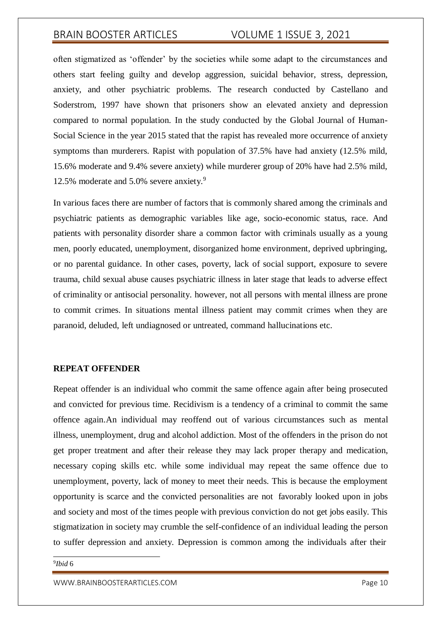often stigmatized as 'offender' by the societies while some adapt to the circumstances and others start feeling guilty and develop aggression, suicidal behavior, stress, depression, anxiety, and other psychiatric problems. The research conducted by Castellano and Soderstrom, 1997 have shown that prisoners show an elevated anxiety and depression compared to normal population. In the study conducted by the Global Journal of Human-Social Science in the year 2015 stated that the rapist has revealed more occurrence of anxiety symptoms than murderers. Rapist with population of 37.5% have had anxiety (12.5% mild, 15.6% moderate and 9.4% severe anxiety) while murderer group of 20% have had 2.5% mild, 12.5% moderate and 5.0% severe anxiety.<sup>9</sup>

In various faces there are number of factors that is commonly shared among the criminals and psychiatric patients as demographic variables like age, socio-economic status, race. And patients with personality disorder share a common factor with criminals usually as a young men, poorly educated, unemployment, disorganized home environment, deprived upbringing, or no parental guidance. In other cases, poverty, lack of social support, exposure to severe trauma, child sexual abuse causes psychiatric illness in later stage that leads to adverse effect of criminality or antisocial personality. however, not all persons with mental illness are prone to commit crimes. In situations mental illness patient may commit crimes when they are paranoid, deluded, left undiagnosed or untreated, command hallucinations etc.

### **REPEAT OFFENDER**

Repeat offender is an individual who commit the same offence again after being prosecuted and convicted for previous time. Recidivism is a tendency of a criminal to commit the same offence again.An individual may reoffend out of various circumstances such as mental illness, unemployment, drug and alcohol addiction. Most of the offenders in the prison do not get proper treatment and after their release they may lack proper therapy and medication, necessary coping skills etc. while some individual may repeat the same offence due to unemployment, poverty, lack of money to meet their needs. This is because the employment opportunity is scarce and the convicted personalities are not favorably looked upon in jobs and society and most of the times people with previous conviction do not get jobs easily. This stigmatization in society may crumble the self-confidence of an individual leading the person to suffer depression and anxiety. Depression is common among the individuals after their

#### 9 *Ibid* 6

[WWW.BRAINBOOSTERARTICLES.COM](http://www.brainboosterarticles.com/) enterprise of the state of the page 10 model of the page 10 model of the page 10 model of the page 10 model of the page 10 model of the page 10 model of the page 10 model of the page 10 model o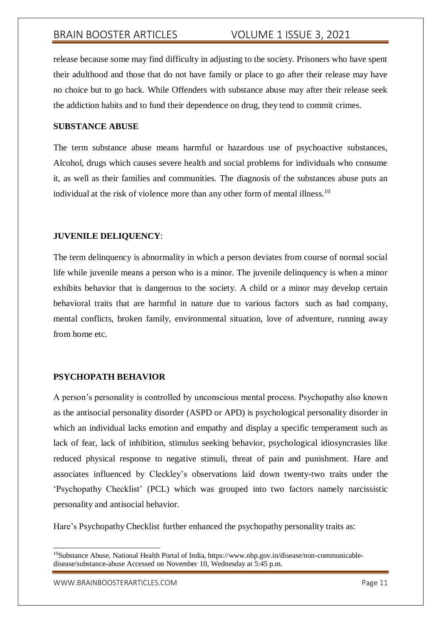release because some may find difficulty in adjusting to the society. Prisoners who have spent their adulthood and those that do not have family or place to go after their release may have no choice but to go back. While Offenders with substance abuse may after their release seek the addiction habits and to fund their dependence on drug, they tend to commit crimes.

## **SUBSTANCE ABUSE**

The term substance abuse means harmful or hazardous use of psychoactive substances, Alcohol, drugs which causes severe health and social problems for individuals who consume it, as well as their families and communities. The diagnosis of the substances abuse puts an individual at the risk of violence more than any other form of mental illness.<sup>10</sup>

## **JUVENILE DELIQUENCY**:

The term delinquency is abnormality in which a person deviates from course of normal social life while juvenile means a person who is a minor. The juvenile delinquency is when a minor exhibits behavior that is dangerous to the society. A child or a minor may develop certain behavioral traits that are harmful in nature due to various factors such as bad company, mental conflicts, broken family, environmental situation, love of adventure, running away from home etc.

## **PSYCHOPATH BEHAVIOR**

A person's personality is controlled by unconscious mental process. Psychopathy also known as the antisocial personality disorder (ASPD or APD) is psychological personality disorder in which an individual lacks emotion and empathy and display a specific temperament such as lack of fear, lack of inhibition, stimulus seeking behavior, psychological idiosyncrasies like reduced physical response to negative stimuli, threat of pain and punishment. Hare and associates influenced by Cleckley's observations laid down twenty-two traits under the 'Psychopathy Checklist' (PCL) which was grouped into two factors namely narcissistic personality and antisocial behavior.

Hare's Psychopathy Checklist further enhanced the psychopathy personality traits as:

[WWW.BRAINBOOSTERARTICLES.COM](http://www.brainboosterarticles.com/) enterprise of the state of the page 11 and the page 11

 $10S$ ubstance Abuse, National Health Portal of India, https:[//www.nhp.gov.in/disease/non-communicable](http://www.nhp.gov.in/disease/non-communicable-)disease/substance-abuse Accessed on November 10, Wednesday at 5:45 p.m.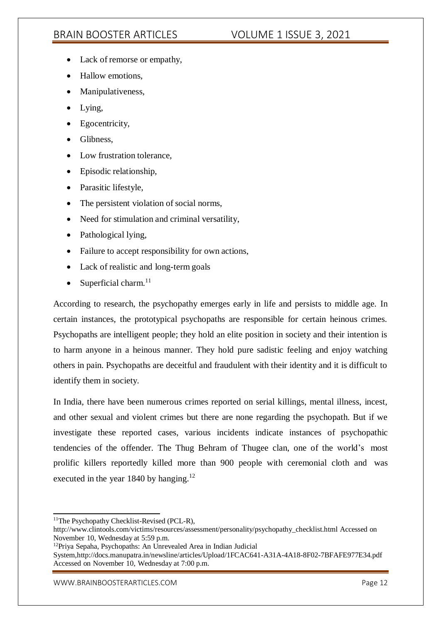- Lack of remorse or empathy,
- Hallow emotions,
- Manipulativeness,
- Lying,
- Egocentricity,
- Glibness,
- Low frustration tolerance,
- Episodic relationship,
- Parasitic lifestyle,
- The persistent violation of social norms,
- Need for stimulation and criminal versatility,
- Pathological lying,
- Failure to accept responsibility for own actions,
- Lack of realistic and long-term goals
- $\bullet$  Superficial charm.<sup>11</sup>

According to research, the psychopathy emerges early in life and persists to middle age. In certain instances, the prototypical psychopaths are responsible for certain heinous crimes. Psychopaths are intelligent people; they hold an elite position in society and their intention is to harm anyone in a heinous manner. They hold pure sadistic feeling and enjoy watching others in pain. Psychopaths are deceitful and fraudulent with their identity and it is difficult to identify them in society.

In India, there have been numerous crimes reported on serial killings, mental illness, incest, and other sexual and violent crimes but there are none regarding the psychopath. But if we investigate these reported cases, various incidents indicate instances of psychopathic tendencies of the offender. The Thug Behram of Thugee clan, one of the world's most prolific killers reportedly killed more than 900 people with ceremonial cloth and was executed in the year 1840 by hanging.<sup>12</sup>

 $<sup>11</sup>$ The Psychopathy Checklist-Revised (PCL-R),</sup>

[http://www.clintools.com/victims/resources/assessment/personality/psychopathy\\_checklist.html A](http://www.clintools.com/victims/resources/assessment/personality/psychopathy_checklist.html)ccessed on November 10, Wednesday at 5:59 p.m.

<sup>12</sup>Priya Sepaha, Psychopaths: An Unrevealed Area in Indian Judicial

System[,http://docs.manupatra.in/newsline/articles/Upload/1FCAC641-A31A-4A18-8F02-7BFAFE977E34.pdf](http://docs.manupatra.in/newsline/articles/Upload/1FCAC641-A31A-4A18-8F02-7BFAFE977E34.pdf) Accessed on November 10, Wednesday at 7:00 p.m.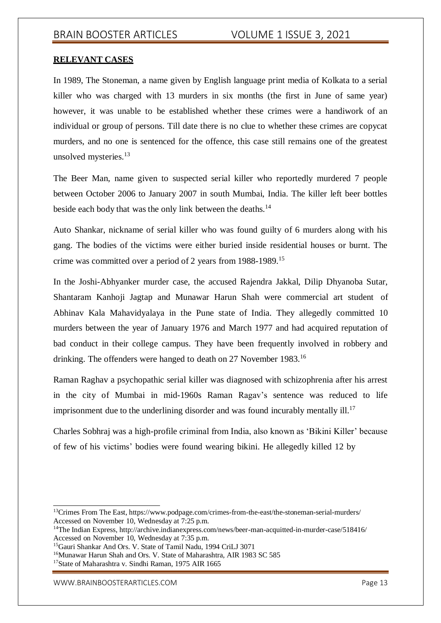## **RELEVANT CASES**

In 1989, The Stoneman, a name given by English language print media of Kolkata to a serial killer who was charged with 13 murders in six months (the first in June of same year) however, it was unable to be established whether these crimes were a handiwork of an individual or group of persons. Till date there is no clue to whether these crimes are copycat murders, and no one is sentenced for the offence, this case still remains one of the greatest unsolved mysteries.<sup>13</sup>

The Beer Man, name given to suspected serial killer who reportedly murdered 7 people between October 2006 to January 2007 in south Mumbai, India. The killer left beer bottles beside each body that was the only link between the deaths.<sup>14</sup>

Auto Shankar, nickname of serial killer who was found guilty of 6 murders along with his gang. The bodies of the victims were either buried inside residential houses or burnt. The crime was committed over a period of 2 years from 1988-1989.<sup>15</sup>

In the Joshi-Abhyanker murder case, the accused Rajendra Jakkal, Dilip Dhyanoba Sutar, Shantaram Kanhoji Jagtap and Munawar Harun Shah were commercial art student of Abhinav Kala Mahavidyalaya in the Pune state of India. They allegedly committed 10 murders between the year of January 1976 and March 1977 and had acquired reputation of bad conduct in their college campus. They have been frequently involved in robbery and drinking. The offenders were hanged to death on 27 November 1983.<sup>16</sup>

Raman Raghav a psychopathic serial killer was diagnosed with schizophrenia after his arrest in the city of Mumbai in mid-1960s Raman Ragav's sentence was reduced to life imprisonment due to the underlining disorder and was found incurably mentally ill.<sup>17</sup>

Charles Sobhraj was a high-profile criminal from India, also known as 'Bikini Killer' because of few of his victims' bodies were found wearing bikini. He allegedly killed 12 by

<sup>13</sup>Crimes From The East, https:/[/www.podpage.com/crimes-from-the-east/the-stoneman-serial-murders/](http://www.podpage.com/crimes-from-the-east/the-stoneman-serial-murders/) Accessed on November 10, Wednesday at 7:25 p.m.

<sup>14</sup>The Indian Express,<http://archive.indianexpress.com/news/beer-man-acquitted-in-murder-case/518416/> Accessed on November 10, Wednesday at 7:35 p.m.

<sup>15</sup>Gauri Shankar And Ors. V. State of Tamil Nadu, 1994 CriLJ 3071

<sup>&</sup>lt;sup>16</sup>Munawar Harun Shah and Ors. V. State of Maharashtra, AIR 1983 SC 585

<sup>&</sup>lt;sup>17</sup>State of Maharashtra v. Sindhi Raman, 1975 AIR 1665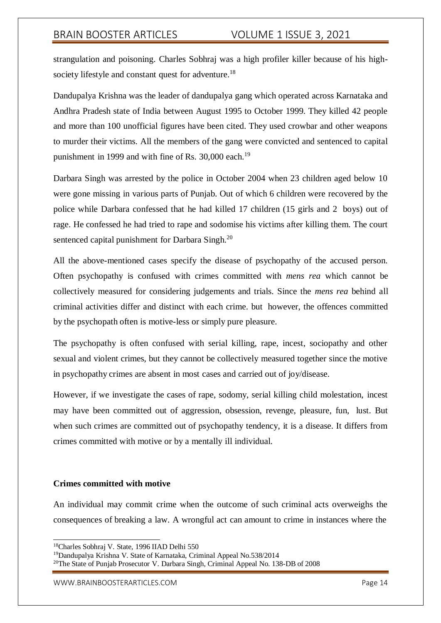strangulation and poisoning. Charles Sobhraj was a high profiler killer because of his highsociety lifestyle and constant quest for adventure.<sup>18</sup>

Dandupalya Krishna was the leader of dandupalya gang which operated across Karnataka and Andhra Pradesh state of India between August 1995 to October 1999. They killed 42 people and more than 100 unofficial figures have been cited. They used crowbar and other weapons to murder their victims. All the members of the gang were convicted and sentenced to capital punishment in 1999 and with fine of Rs. 30,000 each.<sup>19</sup>

Darbara Singh was arrested by the police in October 2004 when 23 children aged below 10 were gone missing in various parts of Punjab. Out of which 6 children were recovered by the police while Darbara confessed that he had killed 17 children (15 girls and 2 boys) out of rage. He confessed he had tried to rape and sodomise his victims after killing them. The court sentenced capital punishment for Darbara Singh.<sup>20</sup>

All the above-mentioned cases specify the disease of psychopathy of the accused person. Often psychopathy is confused with crimes committed with *mens rea* which cannot be collectively measured for considering judgements and trials. Since the *mens rea* behind all criminal activities differ and distinct with each crime. but however, the offences committed by the psychopath often is motive-less or simply pure pleasure.

The psychopathy is often confused with serial killing, rape, incest, sociopathy and other sexual and violent crimes, but they cannot be collectively measured together since the motive in psychopathy crimes are absent in most cases and carried out of joy/disease.

However, if we investigate the cases of rape, sodomy, serial killing child molestation, incest may have been committed out of aggression, obsession, revenge, pleasure, fun, lust. But when such crimes are committed out of psychopathy tendency, it is a disease. It differs from crimes committed with motive or by a mentally ill individual.

## **Crimes committed with motive**

An individual may commit crime when the outcome of such criminal acts overweighs the consequences of breaking a law. A wrongful act can amount to crime in instances where the

<sup>18</sup>Charles Sobhraj V. State, 1996 IIAD Delhi 550

<sup>19</sup>Dandupalya Krishna V. State of Karnataka, Criminal Appeal No.538/2014

<sup>20</sup>The State of Punjab Prosecutor V. Darbara Singh, Criminal Appeal No. 138-DB of 2008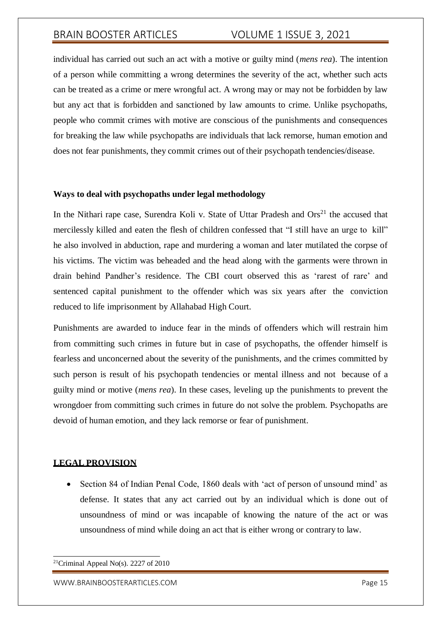individual has carried out such an act with a motive or guilty mind (*mens rea*). The intention of a person while committing a wrong determines the severity of the act, whether such acts can be treated as a crime or mere wrongful act. A wrong may or may not be forbidden by law but any act that is forbidden and sanctioned by law amounts to crime. Unlike psychopaths, people who commit crimes with motive are conscious of the punishments and consequences for breaking the law while psychopaths are individuals that lack remorse, human emotion and does not fear punishments, they commit crimes out of their psychopath tendencies/disease.

### **Ways to deal with psychopaths under legal methodology**

In the Nithari rape case, Surendra Koli v. State of Uttar Pradesh and  $\text{Ors}^{21}$  the accused that mercilessly killed and eaten the flesh of children confessed that "I still have an urge to kill" he also involved in abduction, rape and murdering a woman and later mutilated the corpse of his victims. The victim was beheaded and the head along with the garments were thrown in drain behind Pandher's residence. The CBI court observed this as 'rarest of rare' and sentenced capital punishment to the offender which was six years after the conviction reduced to life imprisonment by Allahabad High Court.

Punishments are awarded to induce fear in the minds of offenders which will restrain him from committing such crimes in future but in case of psychopaths, the offender himself is fearless and unconcerned about the severity of the punishments, and the crimes committed by such person is result of his psychopath tendencies or mental illness and not because of a guilty mind or motive (*mens rea*). In these cases, leveling up the punishments to prevent the wrongdoer from committing such crimes in future do not solve the problem. Psychopaths are devoid of human emotion, and they lack remorse or fear of punishment.

## **LEGAL PROVISION**

• Section 84 of Indian Penal Code, 1860 deals with 'act of person of unsound mind' as defense. It states that any act carried out by an individual which is done out of unsoundness of mind or was incapable of knowing the nature of the act or was unsoundness of mind while doing an act that is either wrong or contrary to law.

<sup>&</sup>lt;sup>21</sup>Criminal Appeal No(s). 2227 of 2010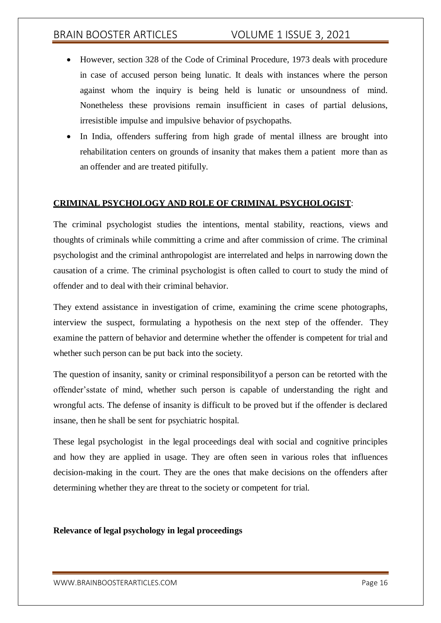- However, section 328 of the Code of Criminal Procedure, 1973 deals with procedure in case of accused person being lunatic. It deals with instances where the person against whom the inquiry is being held is lunatic or unsoundness of mind. Nonetheless these provisions remain insufficient in cases of partial delusions, irresistible impulse and impulsive behavior of psychopaths.
- In India, offenders suffering from high grade of mental illness are brought into rehabilitation centers on grounds of insanity that makes them a patient more than as an offender and are treated pitifully.

## **CRIMINAL PSYCHOLOGY AND ROLE OF CRIMINAL PSYCHOLOGIST**:

The criminal psychologist studies the intentions, mental stability, reactions, views and thoughts of criminals while committing a crime and after commission of crime. The criminal psychologist and the criminal anthropologist are interrelated and helps in narrowing down the causation of a crime. The criminal psychologist is often called to court to study the mind of offender and to deal with their criminal behavior.

They extend assistance in investigation of crime, examining the crime scene photographs, interview the suspect, formulating a hypothesis on the next step of the offender. They examine the pattern of behavior and determine whether the offender is competent for trial and whether such person can be put back into the society.

The question of insanity, sanity or criminal responsibilityof a person can be retorted with the offender'sstate of mind, whether such person is capable of understanding the right and wrongful acts. The defense of insanity is difficult to be proved but if the offender is declared insane, then he shall be sent for psychiatric hospital.

These legal psychologist in the legal proceedings deal with social and cognitive principles and how they are applied in usage. They are often seen in various roles that influences decision-making in the court. They are the ones that make decisions on the offenders after determining whether they are threat to the society or competent for trial.

## **Relevance of legal psychology in legal proceedings**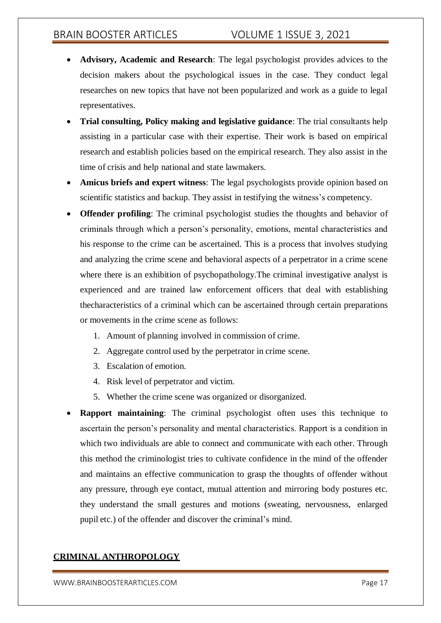- **Advisory, Academic and Research**: The legal psychologist provides advices to the decision makers about the psychological issues in the case. They conduct legal researches on new topics that have not been popularized and work as a guide to legal representatives.
- **Trial consulting, Policy making and legislative guidance**: The trial consultants help assisting in a particular case with their expertise. Their work is based on empirical research and establish policies based on the empirical research. They also assist in the time of crisis and help national and state lawmakers.
- **Amicus briefs and expert witness**: The legal psychologists provide opinion based on scientific statistics and backup. They assist in testifying the witness's competency.
- **Offender profiling**: The criminal psychologist studies the thoughts and behavior of criminals through which a person's personality, emotions, mental characteristics and his response to the crime can be ascertained. This is a process that involves studying and analyzing the crime scene and behavioral aspects of a perpetrator in a crime scene where there is an exhibition of psychopathology. The criminal investigative analyst is experienced and are trained law enforcement officers that deal with establishing thecharacteristics of a criminal which can be ascertained through certain preparations or movements in the crime scene as follows:
	- 1. Amount of planning involved in commission of crime.
	- 2. Aggregate control used by the perpetrator in crime scene.
	- 3. Escalation of emotion.
	- 4. Risk level of perpetrator and victim.
	- 5. Whether the crime scene was organized or disorganized.
- **Rapport maintaining**: The criminal psychologist often uses this technique to ascertain the person's personality and mental characteristics. Rapport is a condition in which two individuals are able to connect and communicate with each other. Through this method the criminologist tries to cultivate confidence in the mind of the offender and maintains an effective communication to grasp the thoughts of offender without any pressure, through eye contact, mutual attention and mirroring body postures etc. they understand the small gestures and motions (sweating, nervousness, enlarged pupil etc.) of the offender and discover the criminal's mind.

## **CRIMINAL ANTHROPOLOGY**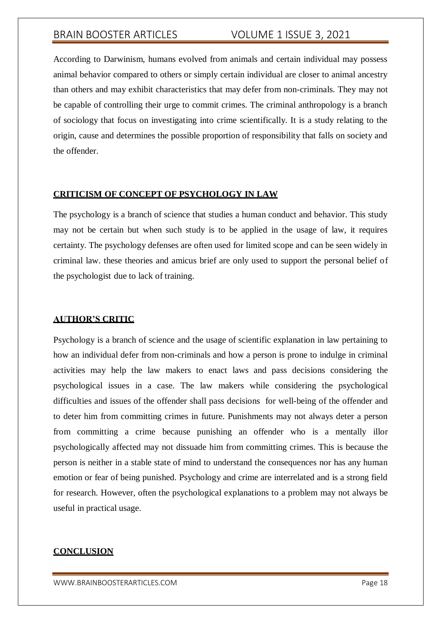According to Darwinism, humans evolved from animals and certain individual may possess animal behavior compared to others or simply certain individual are closer to animal ancestry than others and may exhibit characteristics that may defer from non-criminals. They may not be capable of controlling their urge to commit crimes. The criminal anthropology is a branch of sociology that focus on investigating into crime scientifically. It is a study relating to the origin, cause and determines the possible proportion of responsibility that falls on society and the offender.

## **CRITICISM OF CONCEPT OF PSYCHOLOGY IN LAW**

The psychology is a branch of science that studies a human conduct and behavior. This study may not be certain but when such study is to be applied in the usage of law, it requires certainty. The psychology defenses are often used for limited scope and can be seen widely in criminal law. these theories and amicus brief are only used to support the personal belief of the psychologist due to lack of training.

## **AUTHOR'S CRITIC**

Psychology is a branch of science and the usage of scientific explanation in law pertaining to how an individual defer from non-criminals and how a person is prone to indulge in criminal activities may help the law makers to enact laws and pass decisions considering the psychological issues in a case. The law makers while considering the psychological difficulties and issues of the offender shall pass decisions for well-being of the offender and to deter him from committing crimes in future. Punishments may not always deter a person from committing a crime because punishing an offender who is a mentally illor psychologically affected may not dissuade him from committing crimes. This is because the person is neither in a stable state of mind to understand the consequences nor has any human emotion or fear of being punished. Psychology and crime are interrelated and is a strong field for research. However, often the psychological explanations to a problem may not always be useful in practical usage.

#### **CONCLUSION**